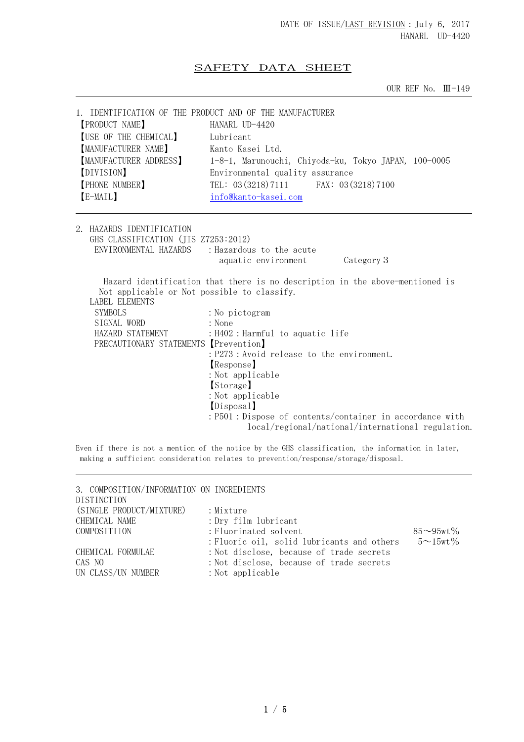## SAFETY DATA SHEET

OUR REF No. Ⅲ-149

| 1. IDENTIFICATION OF THE PRODUCT AND OF THE MANUFACTURER<br><b>PRODUCT NAME</b><br>USE OF THE CHEMICAL]<br>[MANUFACTURER NAME]<br>MANUFACTURER ADDRESS]<br>(DIVISION)<br>PHONE NUMBER<br>$E-MAIL$ | HANARL UD-4420<br>Lubricant<br>Kanto Kasei Ltd.<br>1-8-1, Marunouchi, Chiyoda-ku, Tokyo JAPAN, 100-0005<br>Environmental quality assurance<br>TEL: 03 (3218) 7111 FAX: 03 (3218) 7100<br>info@kanto-kasei.com |
|---------------------------------------------------------------------------------------------------------------------------------------------------------------------------------------------------|---------------------------------------------------------------------------------------------------------------------------------------------------------------------------------------------------------------|
| 2. HAZARDS IDENTIFICATION<br>GHS CLASSIFICATION (JIS Z7253:2012)                                                                                                                                  | ENVIRONMENTAL HAZARDS : Hazardous to the acute<br>Category 3<br>aquatic environment                                                                                                                           |
| Not applicable or Not possible to classify.<br>LABEL ELEMENTS<br>SYMBOLS<br>SIGNAL WORD<br>HAZARD STATEMENT<br>PRECAUTIONARY STATEMENTS [Prevention]                                              | Hazard identification that there is no description in the above-mentioned is<br>: No pictogram<br>: None<br>: H402 : Harmful to aquatic life                                                                  |

:Not applicable 【Disposal】 :P501:Dispose of contents/container in accordance with local/regional/national/international regulation.

【Response】 :Not applicable 【Storage】

:P273:Avoid release to the environment.

Even if there is not a mention of the notice by the GHS classification, the information in later, making a sufficient consideration relates to prevention/response/storage/disposal.

| 3. COMPOSITION/INFORMATION ON INGREDIENTS<br><b>DISTINCTION</b> |                                            |                     |
|-----------------------------------------------------------------|--------------------------------------------|---------------------|
| (SINGLE PRODUCT/MIXTURE)                                        | : Mixture                                  |                     |
| CHEMICAL NAME                                                   | : Dry film lubricant                       |                     |
| COMPOSITIION                                                    | : Fluorinated solvent                      | $85 - 95$ wt $\%$   |
|                                                                 | : Fluoric oil, solid lubricants and others | $5 \sim 15$ wt $\%$ |
| CHEMICAL FORMULAE                                               | : Not disclose, because of trade secrets   |                     |
| CAS NO                                                          | : Not disclose, because of trade secrets   |                     |
| UN CLASS/UN NUMBER                                              | $:$ Not applicable                         |                     |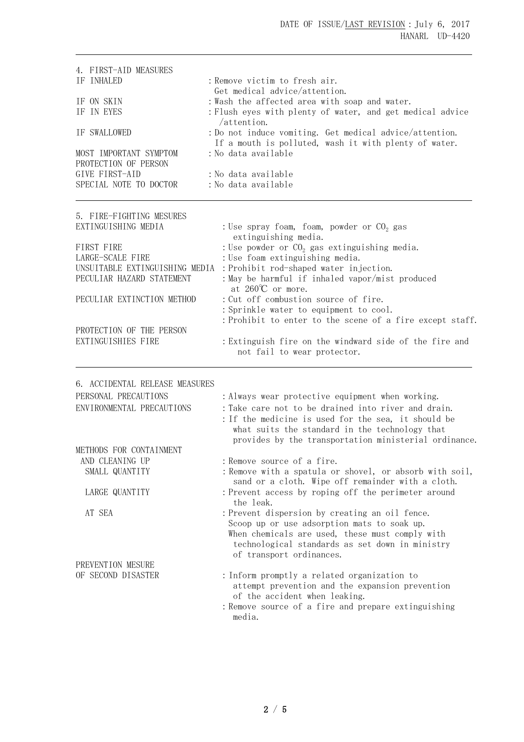| 4. FIRST-AID MEASURES<br>IF INHALED<br>IF ON SKIN<br>IF IN EYES<br>IF SWALLOWED<br>MOST IMPORTANT SYMPTOM<br>PROTECTION OF PERSON<br>GIVE FIRST-AID<br>SPECIAL NOTE TO DOCTOR                                                    | : Remove victim to fresh air.<br>Get medical advice/attention.<br>: Wash the affected area with soap and water.<br>: Flush eyes with plenty of water, and get medical advice<br>/attention.<br>: Do not induce vomiting. Get medical advice/attention.<br>If a mouth is polluted, wash it with plenty of water.<br>: No data available<br>: No data available<br>: No data available                                                                                                                                                                                                                                                            |
|----------------------------------------------------------------------------------------------------------------------------------------------------------------------------------------------------------------------------------|-------------------------------------------------------------------------------------------------------------------------------------------------------------------------------------------------------------------------------------------------------------------------------------------------------------------------------------------------------------------------------------------------------------------------------------------------------------------------------------------------------------------------------------------------------------------------------------------------------------------------------------------------|
| 5. FIRE-FIGHTING MESURES<br>EXTINGUISHING MEDIA<br>FIRST FIRE<br>LARGE-SCALE FIRE<br>UNSUITABLE EXTINGUISHING MEDIA<br>PECULIAR HAZARD STATEMENT<br>PECULIAR EXTINCTION METHOD<br>PROTECTION OF THE PERSON<br>EXTINGUISHIES FIRE | : Use spray foam, foam, powder or $CO2$ gas<br>extinguishing media.<br>: Use powder or $CO2$ gas extinguishing media.<br>: Use foam extinguishing media.<br>: Prohibit rod-shaped water injection.<br>: May be harmful if inhaled vapor/mist produced<br>at $260^{\circ}$ C or more.<br>: Cut off combustion source of fire.<br>: Sprinkle water to equipment to cool.<br>: Prohibit to enter to the scene of a fire except staff.<br>: Extinguish fire on the windward side of the fire and<br>not fail to wear protector.                                                                                                                     |
| 6. ACCIDENTAL RELEASE MEASURES<br>PERSONAL PRECAUTIONS<br>ENVIRONMENTAL PRECAUTIONS<br>METHODS FOR CONTAINMENT<br>AND CLEANING UP<br>SMALL QUANTITY<br>LARGE QUANTITY<br>AT SEA                                                  | : Always wear protective equipment when working.<br>: Take care not to be drained into river and drain.<br>: If the medicine is used for the sea, it should be<br>what suits the standard in the technology that<br>provides by the transportation ministerial ordinance.<br>: Remove source of a fire.<br>: Remove with a spatula or shovel, or absorb with soil,<br>sand or a cloth. Wipe off remainder with a cloth.<br>: Prevent access by roping off the perimeter around<br>the leak.<br>: Prevent dispersion by creating an oil fence.<br>Scoop up or use adsorption mats to soak up.<br>When chemicals are used, these must comply with |
| PREVENTION MESURE<br>OF SECOND DISASTER                                                                                                                                                                                          | technological standards as set down in ministry<br>of transport ordinances.<br>: Inform promptly a related organization to<br>attempt prevention and the expansion prevention<br>of the accident when leaking.<br>: Remove source of a fire and prepare extinguishing<br>media.                                                                                                                                                                                                                                                                                                                                                                 |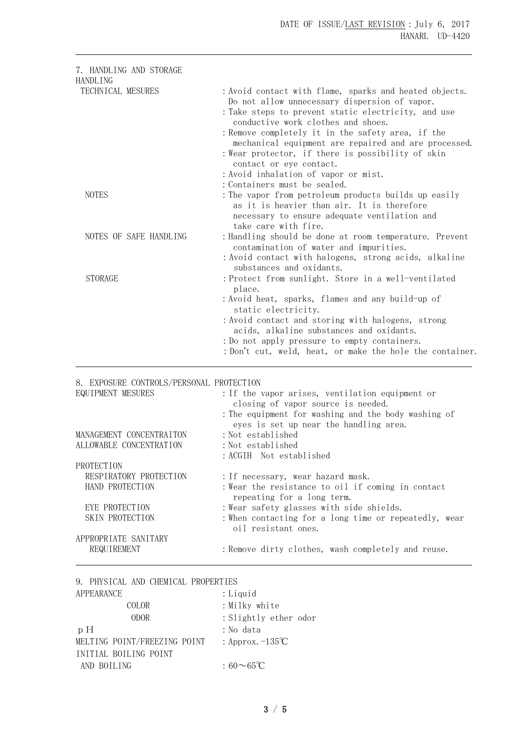| 7. HANDLING AND STORAGE<br><b>HANDLING</b>                                                   |                                                                                                                                                                                                                                                                                                                                                                                                                                           |
|----------------------------------------------------------------------------------------------|-------------------------------------------------------------------------------------------------------------------------------------------------------------------------------------------------------------------------------------------------------------------------------------------------------------------------------------------------------------------------------------------------------------------------------------------|
| TECHNICAL MESURES                                                                            | : Avoid contact with flame, sparks and heated objects.<br>Do not allow unnecessary dispersion of vapor.<br>: Take steps to prevent static electricity, and use<br>conductive work clothes and shoes.<br>: Remove completely it in the safety area, if the<br>mechanical equipment are repaired and are processed.<br>: Wear protector, if there is possibility of skin<br>contact or eye contact.<br>: Avoid inhalation of vapor or mist. |
| <b>NOTES</b>                                                                                 | : Containers must be sealed.<br>: The vapor from petroleum products builds up easily<br>as it is heavier than air. It is therefore<br>necessary to ensure adequate ventilation and<br>take care with fire.                                                                                                                                                                                                                                |
| NOTES OF SAFE HANDLING                                                                       | : Handling should be done at room temperature. Prevent<br>contamination of water and impurities.<br>: Avoid contact with halogens, strong acids, alkaline<br>substances and oxidants.                                                                                                                                                                                                                                                     |
| <b>STORAGE</b>                                                                               | : Protect from sunlight. Store in a well-ventilated<br>place.<br>: Avoid heat, sparks, flames and any build-up of<br>static electricity.<br>: Avoid contact and storing with halogens, strong<br>acids, alkaline substances and oxidants.<br>: Do not apply pressure to empty containers.<br>: Don't cut, weld, heat, or make the hole the container.                                                                                     |
| 8. EXPOSURE CONTROLS/PERSONAL PROTECTION<br>EQUIPMENT MESURES                                | : If the vapor arises, ventilation equipment or<br>closing of vapor source is needed.<br>: The equipment for washing and the body washing of<br>eyes is set up near the handling area.                                                                                                                                                                                                                                                    |
| MANAGEMENT CONCENTRAITON<br>ALLOWABLE CONCENTRATION                                          | : Not established<br>: Not established<br>: ACGIH Not established                                                                                                                                                                                                                                                                                                                                                                         |
| PROTECTION<br>RESPIRATORY PROTECTION<br>HAND PROTECTION<br>EYE PROTECTION<br>SKIN PROTECTION | : If necessary, wear hazard mask.<br>: Wear the resistance to oil if coming in contact<br>repeating for a long term.<br>: Wear safety glasses with side shields.<br>: When contacting for a long time or repeatedly, wear<br>oil resistant ones.                                                                                                                                                                                          |
| APPROPRIATE SANITARY<br>REQUIREMENT                                                          | : Remove dirty clothes, wash completely and reuse.                                                                                                                                                                                                                                                                                                                                                                                        |

| 9. PHYSICAL AND CHEMICAL PROPERTIES |                           |
|-------------------------------------|---------------------------|
| APPEARANCE                          | : Liquid                  |
| <b>COLOR</b>                        | : Milky white             |
| <b>ODOR</b>                         | : Slightly ether odor     |
| p H                                 | : No data                 |
| MELTING POINT/FREEZING POINT        | : Approx. $-135^{\circ}C$ |
| INITIAL BOILING POINT               |                           |
| AND BOILING                         | : $60 \sim 65^{\circ}C$   |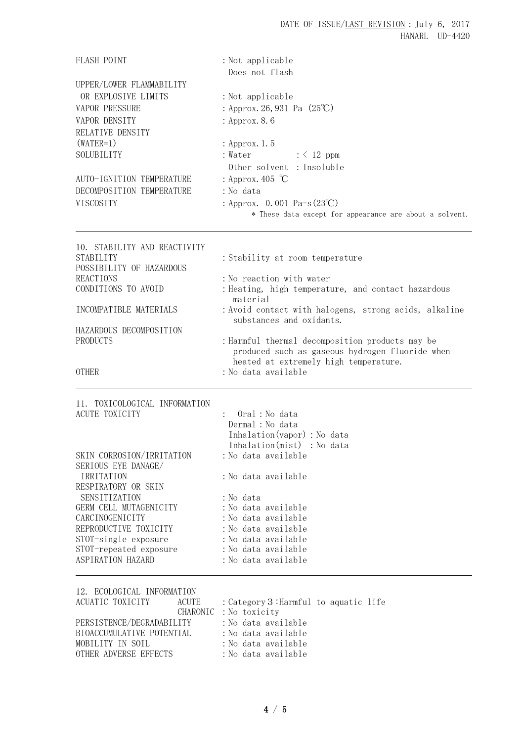| <b>FLASH POINT</b>                        | : Not applicable<br>Does not flash                                                |
|-------------------------------------------|-----------------------------------------------------------------------------------|
| UPPER/LOWER FLAMMABILITY                  |                                                                                   |
| OR EXPLOSIVE LIMITS                       | : Not applicable                                                                  |
| <b>VAPOR PRESSURE</b>                     | : Approx. 26, 931 Pa $(25^{\circ}\text{C})$                                       |
| VAPOR DENSITY                             | : Approx. 8.6                                                                     |
| RELATIVE DENSITY                          |                                                                                   |
| $(WATER=1)$                               | : Approx. 1.5                                                                     |
| SOLUBILITY                                | : Water<br>$: \langle 12 \text{ ppm}$                                             |
|                                           | Other solvent : Insoluble                                                         |
| AUTO-IGNITION TEMPERATURE                 | : Approx. 405 $\degree$ C                                                         |
| DECOMPOSITION TEMPERATURE                 | : No data                                                                         |
| VISCOSITY                                 | : Approx. 0.001 Pa-s $(23^{\circ}\text{C})$                                       |
|                                           | * These data except for appearance are about a solvent.                           |
|                                           |                                                                                   |
| 10. STABILITY AND REACTIVITY<br>STABILITY | : Stability at room temperature                                                   |
| POSSIBILITY OF HAZARDOUS                  |                                                                                   |
| <b>REACTIONS</b>                          | : No reaction with water                                                          |
| CONDITIONS TO AVOID                       | : Heating, high temperature, and contact hazardous                                |
|                                           | material                                                                          |
| INCOMPATIBLE MATERIALS                    | : Avoid contact with halogens, strong acids, alkaline<br>substances and oxidants. |
| HAZARDOUS DECOMPOSITION                   |                                                                                   |
| <b>PRODUCTS</b>                           | : Harmful thermal decomposition products may be                                   |
|                                           | produced such as gaseous hydrogen fluoride when                                   |
|                                           | heated at extremely high temperature.                                             |
| <b>OTHER</b>                              | :No data available                                                                |
| 11. TOXICOLOGICAL INFORMATION             |                                                                                   |
| <b>ACUTE TOXICITY</b>                     | Oral: No data                                                                     |
|                                           | Dermal : No data                                                                  |
|                                           | Inhalation (vapor) : No data                                                      |
|                                           | Inhalation(mist) : No data                                                        |
| SKIN CORROSION/IRRITATION                 | : No data available                                                               |
| SERIOUS EYE DANAGE/<br>IRRITATION         | :No data available                                                                |
| RESPIRATORY OR SKIN                       |                                                                                   |
| SENSITIZATION                             | : No data                                                                         |
| GERM CELL MUTAGENICITY                    | :No data available                                                                |
| CARCINOGENICITY                           | :No data available                                                                |
| REPRODUCTIVE TOXICITY                     | : No data available                                                               |
| STOT-single exposure                      | :No data available                                                                |
| STOT-repeated exposure                    | : No data available                                                               |
| ASPIRATION HAZARD                         | :No data available                                                                |
| 12. ECOLOGICAL INFORMATION                |                                                                                   |

| ACUATIC TOXICITY          | ACUTE | : Category 3:Harmful to aquatic life |  |
|---------------------------|-------|--------------------------------------|--|
|                           |       | CHARONIC: No toxicity                |  |
| PERSISTENCE/DEGRADABILITY |       | :No data available                   |  |
| BIOACCUMULATIVE POTENTIAL |       | :No data available                   |  |
| MOBILITY IN SOIL          |       | :No data available                   |  |
| OTHER ADVERSE EFFECTS     |       | :No data available                   |  |